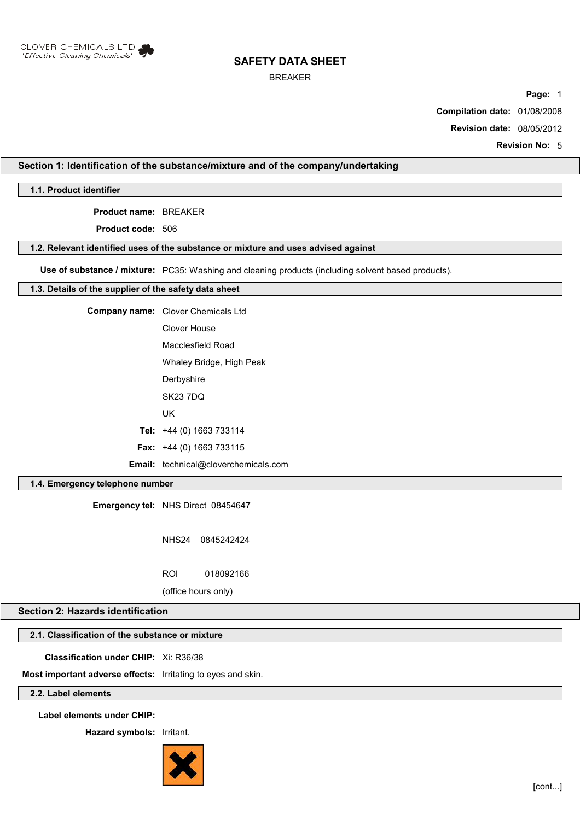

### BREAKER

**Page:** 1

**Compilation date:** 01/08/2008

**Revision date:** 08/05/2012

**Revision No:** 5

## **Section 1: Identification of the substance/mixture and of the company/undertaking**

**1.1. Product identifier**

**Product name:** BREAKER

**Product code:** 506

#### **1.2. Relevant identified uses of the substance or mixture and uses advised against**

**Use of substance / mixture:** PC35: Washing and cleaning products (including solvent based products).

### **1.3. Details of the supplier of the safety data sheet**

| <b>Company name:</b> Clover Chemicals Ltd   |
|---------------------------------------------|
| Clover House                                |
| Macclesfield Road                           |
| Whaley Bridge, High Peak                    |
| Derbyshire                                  |
| <b>SK23 7DQ</b>                             |
| UK                                          |
| Tel: $+44$ (0) 1663 733114                  |
| <b>Fax:</b> $+44$ (0) 1663 733115           |
| <b>Email:</b> technical@cloverchemicals.com |

## **1.4. Emergency telephone number**

**Emergency tel:** NHS Direct 08454647

NHS24 0845242424

ROI 018092166

(office hours only)

# **Section 2: Hazards identification**

# **2.1. Classification of the substance or mixture**

**Classification under CHIP:** Xi: R36/38

**Most important adverse effects:** Irritating to eyes and skin.

## **2.2. Label elements**

**Label elements under CHIP:**

**Hazard symbols:** Irritant.

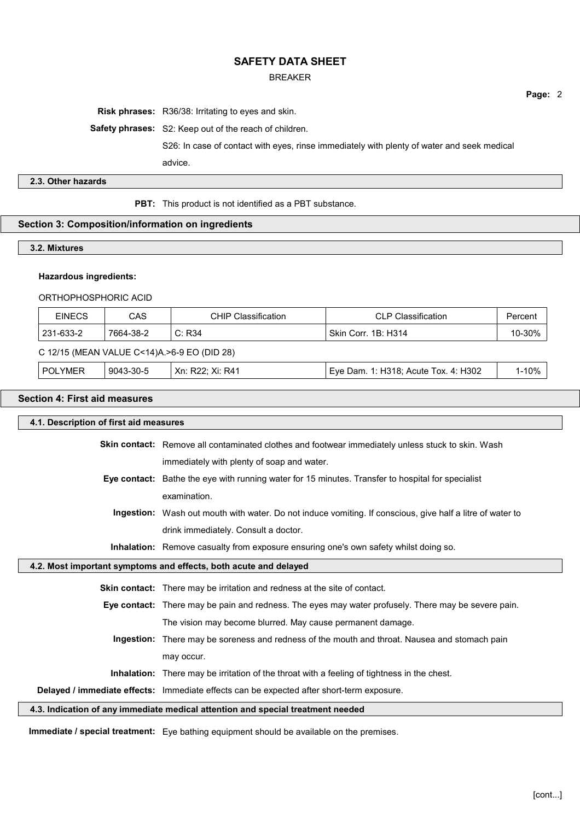### BREAKER

**Risk phrases:** R36/38: Irritating to eyes and skin.

**Safety phrases:** S2: Keep out of the reach of children.

S26: In case of contact with eyes, rinse immediately with plenty of water and seek medical

advice.

## **2.3. Other hazards**

**PBT:** This product is not identified as a PBT substance.

## **Section 3: Composition/information on ingredients**

### **3.2. Mixtures**

## **Hazardous ingredients:**

### ORTHOPHOSPHORIC ACID

| <b>EINECS</b>                               | CAS       | <b>CHIP Classification</b> | <b>CLP Classification</b>            | Percent   |
|---------------------------------------------|-----------|----------------------------|--------------------------------------|-----------|
| 231-633-2                                   | 7664-38-2 | C: R34                     | Skin Corr. 1B: H314                  | 10-30%    |
| C 12/15 (MEAN VALUE C<14)A.>6-9 EO (DID 28) |           |                            |                                      |           |
| <b>POLYMER</b>                              | 9043-30-5 | Xn: R22: Xi: R41           | Eye Dam. 1: H318; Acute Tox. 4: H302 | $1 - 10%$ |

## **Section 4: First aid measures**

| 4.1. Description of first aid measures                                          |                                                                                                           |  |  |
|---------------------------------------------------------------------------------|-----------------------------------------------------------------------------------------------------------|--|--|
|                                                                                 | <b>Skin contact:</b> Remove all contaminated clothes and footwear immediately unless stuck to skin. Wash  |  |  |
|                                                                                 | immediately with plenty of soap and water.                                                                |  |  |
|                                                                                 | Eye contact: Bathe the eye with running water for 15 minutes. Transfer to hospital for specialist         |  |  |
|                                                                                 | examination.                                                                                              |  |  |
|                                                                                 | Ingestion: Wash out mouth with water. Do not induce vomiting. If conscious, give half a litre of water to |  |  |
|                                                                                 | drink immediately. Consult a doctor.                                                                      |  |  |
|                                                                                 | <b>Inhalation:</b> Remove casualty from exposure ensuring one's own safety whilst doing so.               |  |  |
| 4.2. Most important symptoms and effects, both acute and delayed                |                                                                                                           |  |  |
|                                                                                 | <b>Skin contact:</b> There may be irritation and redness at the site of contact.                          |  |  |
|                                                                                 | Eye contact: There may be pain and redness. The eyes may water profusely. There may be severe pain.       |  |  |
|                                                                                 |                                                                                                           |  |  |
|                                                                                 | The vision may become blurred. May cause permanent damage.                                                |  |  |
|                                                                                 | Ingestion: There may be soreness and redness of the mouth and throat. Nausea and stomach pain             |  |  |
|                                                                                 | may occur.                                                                                                |  |  |
|                                                                                 | <b>Inhalation:</b> There may be irritation of the throat with a feeling of tightness in the chest.        |  |  |
|                                                                                 | Delayed / immediate effects: Immediate effects can be expected after short-term exposure.                 |  |  |
| 4.3. Indication of any immediate medical attention and special treatment needed |                                                                                                           |  |  |

**Immediate / special treatment:** Eye bathing equipment should be available on the premises.

[cont...]

**Page:** 2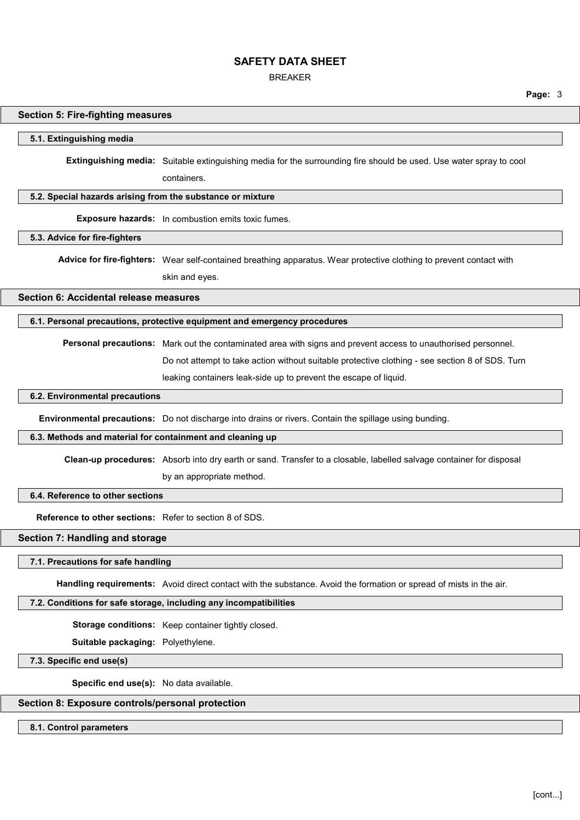BREAKER

**Page:** 3

### **Section 5: Fire-fighting measures**

#### **5.1. Extinguishing media**

**Extinguishing media:** Suitable extinguishing media for the surrounding fire should be used. Use water spray to cool

containers.

### **5.2. Special hazards arising from the substance or mixture**

**Exposure hazards:** In combustion emits toxic fumes.

#### **5.3. Advice for fire-fighters**

**Advice for fire-fighters:** Wear self-contained breathing apparatus. Wear protective clothing to prevent contact with

skin and eyes.

**Section 6: Accidental release measures**

### **6.1. Personal precautions, protective equipment and emergency procedures**

**Personal precautions:** Mark out the contaminated area with signs and prevent access to unauthorised personnel.

Do not attempt to take action without suitable protective clothing - see section 8 of SDS. Turn

leaking containers leak-side up to prevent the escape of liquid.

### **6.2. Environmental precautions**

**Environmental precautions:** Do not discharge into drains or rivers. Contain the spillage using bunding.

### **6.3. Methods and material for containment and cleaning up**

**Clean-up procedures:** Absorb into dry earth or sand. Transfer to a closable, labelled salvage container for disposal by an appropriate method.

## **6.4. Reference to other sections**

**Reference to other sections:** Refer to section 8 of SDS.

# **Section 7: Handling and storage**

#### **7.1. Precautions for safe handling**

**Handling requirements:** Avoid direct contact with the substance. Avoid the formation or spread of mists in the air.

### **7.2. Conditions for safe storage, including any incompatibilities**

**Storage conditions:** Keep container tightly closed.

**Suitable packaging:** Polyethylene.

**7.3. Specific end use(s)**

**Specific end use(s):** No data available.

## **Section 8: Exposure controls/personal protection**

**8.1. Control parameters**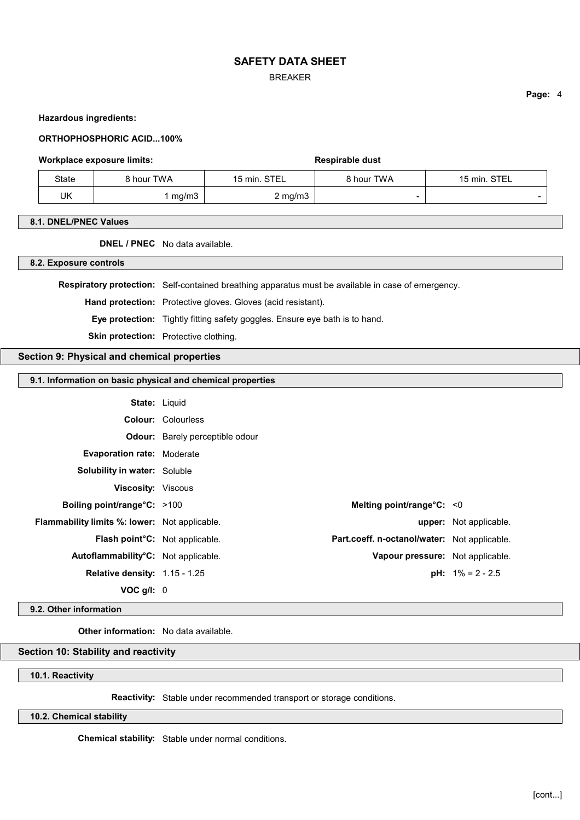BREAKER

#### **Hazardous ingredients:**

#### **ORTHOPHOSPHORIC ACID...100%**

#### **Workplace exposure limits: Respirable dust Respirable dust**

| State | 8 hour TWA | 15 min. STEL | 8 hour TWA | 15 min. STEL |
|-------|------------|--------------|------------|--------------|
| UK    | mg/m3      | $2$ mg/m $3$ | -          |              |

#### **8.1. DNEL/PNEC Values**

**DNEL / PNEC** No data available.

**8.2. Exposure controls**

**Respiratory protection:** Self-contained breathing apparatus must be available in case of emergency.

**Hand protection:** Protective gloves. Gloves (acid resistant).

**Eye protection:** Tightly fitting safety goggles. Ensure eye bath is to hand.

**Skin protection:** Protective clothing.

## **Section 9: Physical and chemical properties**

## **9.1. Information on basic physical and chemical properties**

**State:** Liquid

**Colour:** Colourless

**Viscosity:** Viscous

**Odour:** Barely perceptible odour

**Evaporation rate:** Moderate

**Solubility in water:** Soluble

| Boiling point/range $C: >100$                        | Melting point/range $C: < 0$                 |                                  |
|------------------------------------------------------|----------------------------------------------|----------------------------------|
| <b>Flammability limits %: lower:</b> Not applicable. |                                              | <b>upper:</b> Not applicable.    |
| <b>Flash point C:</b> Not applicable.                | Part.coeff. n-octanol/water: Not applicable. |                                  |
| Autoflammability <sup>°</sup> C: Not applicable.     |                                              | Vapour pressure: Not applicable. |
| <b>Relative density: 1.15 - 1.25</b>                 |                                              | <b>pH:</b> $1\% = 2 - 2.5$       |
| $VOC$ g/l: $0$                                       |                                              |                                  |

#### **9.2. Other information**

**Other information:** No data available.

## **Section 10: Stability and reactivity**

## **10.1. Reactivity**

**Reactivity:** Stable under recommended transport or storage conditions.

**10.2. Chemical stability**

**Chemical stability:** Stable under normal conditions.

**Page:** 4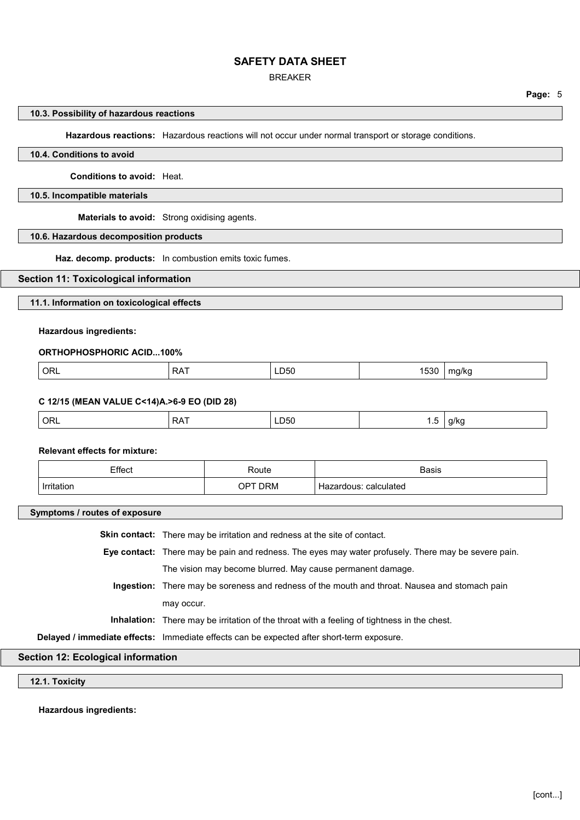### BREAKER

**Page:** 5

### **10.3. Possibility of hazardous reactions**

**Hazardous reactions:** Hazardous reactions will not occur under normal transport or storage conditions.

## **10.4. Conditions to avoid**

**Conditions to avoid:** Heat.

### **10.5. Incompatible materials**

**Materials to avoid:** Strong oxidising agents.

## **10.6. Hazardous decomposition products**

**Haz. decomp. products:** In combustion emits toxic fumes.

### **Section 11: Toxicological information**

**11.1. Information on toxicological effects**

### **Hazardous ingredients:**

#### **ORTHOPHOSPHORIC ACID...100%**

| $\Gamma$<br>ORL<br>LD50<br>. -<br>ma/ka<br>bot<br>$\mathbf{v}$<br>--<br>. . |
|-----------------------------------------------------------------------------|
|-----------------------------------------------------------------------------|

#### **C 12/15 (MEAN VALUE C<14)A.>6-9 EO (DID 28)**

| ∩R∟<br>. .<br>- -<br><b>LD50</b><br>ີ<br>17<br>. .<br>$\cdot$<br>$\sim$<br>$ -$<br>$\sim$<br>. . |  |
|--------------------------------------------------------------------------------------------------|--|
|--------------------------------------------------------------------------------------------------|--|

#### **Relevant effects for mixture:**

| Effect<br>וטטו<br>. | रेoute<br>. | <b>Basis</b>        |
|---------------------|-------------|---------------------|
| Irrt                | )RM<br>)⊬   | calculated<br>יו ממ |

#### **Symptoms / routes of exposure**

**Skin contact:** There may be irritation and redness at the site of contact.

**Eye contact:** There may be pain and redness. The eyes may water profusely. There may be severe pain. The vision may become blurred. May cause permanent damage.

**Ingestion:** There may be soreness and redness of the mouth and throat. Nausea and stomach pain may occur.

**Inhalation:** There may be irritation of the throat with a feeling of tightness in the chest.

**Delayed / immediate effects:** Immediate effects can be expected after short-term exposure.

# **Section 12: Ecological information**

**12.1. Toxicity**

**Hazardous ingredients:**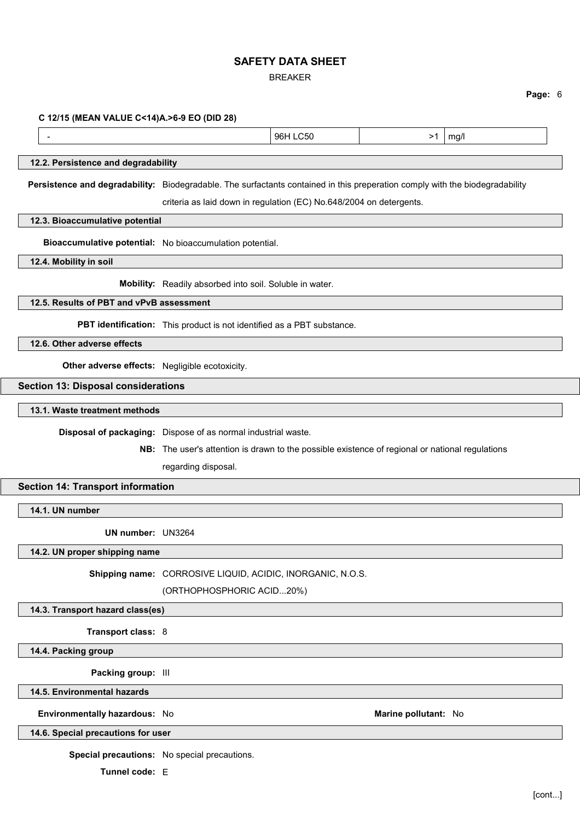BREAKER

**Page:** 6

#### **C 12/15 (MEAN VALUE C<14)A.>6-9 EO (DID 28)**

- 96H LC50 >1 mg/l

### **12.2. Persistence and degradability**

**Persistence and degradability:** Biodegradable. The surfactants contained in this preperation comply with the biodegradability

criteria as laid down in regulation (EC) No.648/2004 on detergents.

**12.3. Bioaccumulative potential**

**Bioaccumulative potential:** No bioaccumulation potential.

**12.4. Mobility in soil**

**Mobility:** Readily absorbed into soil. Soluble in water.

**12.5. Results of PBT and vPvB assessment**

**PBT identification:** This product is not identified as a PBT substance.

**12.6. Other adverse effects**

**Other adverse effects:** Negligible ecotoxicity.

#### **Section 13: Disposal considerations**

**13.1. Waste treatment methods**

**Disposal of packaging:** Dispose of as normal industrial waste.

**NB:** The user's attention is drawn to the possible existence of regional or national regulations

regarding disposal.

## **Section 14: Transport information**

**14.1. UN number**

**UN number:** UN3264

**14.2. UN proper shipping name**

**Shipping name:** CORROSIVE LIQUID, ACIDIC, INORGANIC, N.O.S.

(ORTHOPHOSPHORIC ACID...20%)

**14.3. Transport hazard class(es)**

**Transport class:** 8

**14.4. Packing group**

**Packing group:** III

**14.5. Environmental hazards**

**Environmentally hazardous:** No **Marine pollutant:** No

**14.6. Special precautions for user**

**Special precautions:** No special precautions.

**Tunnel code:** E